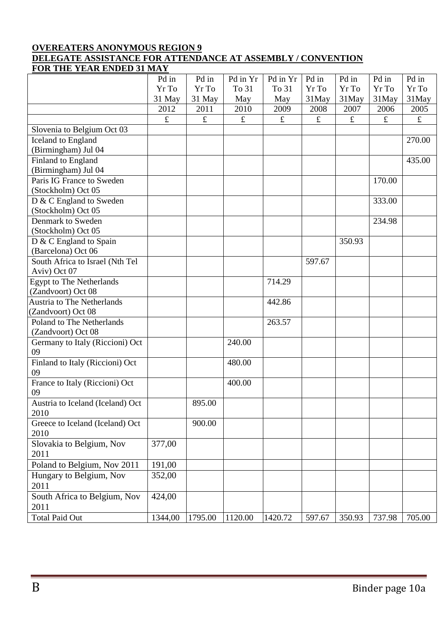## **OVEREATERS ANONYMOUS REGION 9 DELEGATE ASSISTANCE FOR ATTENDANCE AT ASSEMBLY / CONVENTION FOR THE YEAR ENDED 31 MAY**

| FOR THE TEAR ERDED 31 MAI             |           |           |           |                       |           |           |           |           |
|---------------------------------------|-----------|-----------|-----------|-----------------------|-----------|-----------|-----------|-----------|
|                                       | Pd in     | Pd in     | Pd in Yr  | Pd in $\overline{Yr}$ | Pd in     | Pd in     | Pd in     | Pd in     |
|                                       | Yr To     | Yr To     | To 31     | To 31                 | Yr To     | Yr To     | Yr To     | Yr To     |
|                                       | 31 May    | 31 May    | May       | May                   | 31May     | 31May     | 31May     | 31May     |
|                                       | 2012      | 2011      | 2010      | 2009                  | 2008      | 2007      | 2006      | 2005      |
|                                       | $\pounds$ | $\pounds$ | $\pounds$ | $\pounds$             | $\pounds$ | $\pounds$ | $\pounds$ | $\pounds$ |
| Slovenia to Belgium Oct 03            |           |           |           |                       |           |           |           |           |
| Iceland to England                    |           |           |           |                       |           |           |           | 270.00    |
| (Birmingham) Jul 04                   |           |           |           |                       |           |           |           |           |
| Finland to England                    |           |           |           |                       |           |           |           | 435.00    |
| (Birmingham) Jul 04                   |           |           |           |                       |           |           |           |           |
| Paris IG France to Sweden             |           |           |           |                       |           |           | 170.00    |           |
| (Stockholm) Oct 05                    |           |           |           |                       |           |           |           |           |
| D & C England to Sweden               |           |           |           |                       |           |           | 333.00    |           |
| (Stockholm) Oct 05                    |           |           |           |                       |           |           |           |           |
| Denmark to Sweden                     |           |           |           |                       |           |           | 234.98    |           |
| (Stockholm) Oct 05                    |           |           |           |                       |           |           |           |           |
| D & C England to Spain                |           |           |           |                       |           | 350.93    |           |           |
| (Barcelona) Oct 06                    |           |           |           |                       |           |           |           |           |
| South Africa to Israel (Nth Tel       |           |           |           |                       | 597.67    |           |           |           |
| Aviv) Oct 07                          |           |           |           |                       |           |           |           |           |
| <b>Egypt to The Netherlands</b>       |           |           |           | 714.29                |           |           |           |           |
| (Zandvoort) Oct 08                    |           |           |           |                       |           |           |           |           |
| <b>Austria to The Netherlands</b>     |           |           |           | 442.86                |           |           |           |           |
| (Zandvoort) Oct 08                    |           |           |           |                       |           |           |           |           |
| Poland to The Netherlands             |           |           |           | 263.57                |           |           |           |           |
| (Zandvoort) Oct 08                    |           |           |           |                       |           |           |           |           |
| Germany to Italy (Riccioni) Oct<br>09 |           |           | 240.00    |                       |           |           |           |           |
| Finland to Italy (Riccioni) Oct       |           |           | 480.00    |                       |           |           |           |           |
| 09                                    |           |           |           |                       |           |           |           |           |
| France to Italy (Riccioni) Oct        |           |           | 400.00    |                       |           |           |           |           |
| 09                                    |           |           |           |                       |           |           |           |           |
| Austria to Iceland (Iceland) Oct      |           | 895.00    |           |                       |           |           |           |           |
| 2010                                  |           |           |           |                       |           |           |           |           |
| Greece to Iceland (Iceland) Oct       |           | 900.00    |           |                       |           |           |           |           |
| 2010                                  |           |           |           |                       |           |           |           |           |
| Slovakia to Belgium, Nov              | 377,00    |           |           |                       |           |           |           |           |
| 2011                                  |           |           |           |                       |           |           |           |           |
| Poland to Belgium, Nov 2011           | 191,00    |           |           |                       |           |           |           |           |
| Hungary to Belgium, Nov               | 352,00    |           |           |                       |           |           |           |           |
| 2011                                  |           |           |           |                       |           |           |           |           |
| South Africa to Belgium, Nov          | 424,00    |           |           |                       |           |           |           |           |
| 2011                                  |           |           |           |                       |           |           |           |           |
| <b>Total Paid Out</b>                 | 1344,00   | 1795.00   | 1120.00   | 1420.72               | 597.67    | 350.93    | 737.98    | 705.00    |